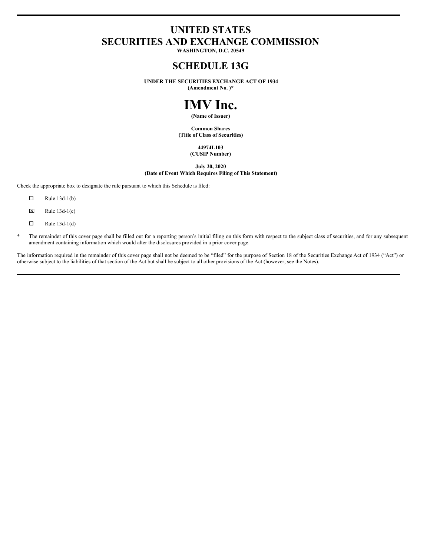# **UNITED STATES SECURITIES AND EXCHANGE COMMISSION**

**WASHINGTON, D.C. 20549**

# **SCHEDULE 13G**

**UNDER THE SECURITIES EXCHANGE ACT OF 1934 (Amendment No. )\***

# **IMV Inc.**

**(Name of Issuer)**

**Common Shares (Title of Class of Securities)**

#### **44974L103 (CUSIP Number)**

**July 20, 2020 (Date of Event Which Requires Filing of This Statement)**

Check the appropriate box to designate the rule pursuant to which this Schedule is filed:

- $\Box$  Rule 13d-1(b)
- $\boxtimes$  Rule 13d-1(c)
- $\Box$  Rule 13d-1(d)
- The remainder of this cover page shall be filled out for a reporting person's initial filing on this form with respect to the subject class of securities, and for any subsequent amendment containing information which would alter the disclosures provided in a prior cover page.

The information required in the remainder of this cover page shall not be deemed to be "filed" for the purpose of Section 18 of the Securities Exchange Act of 1934 ("Act") or otherwise subject to the liabilities of that section of the Act but shall be subject to all other provisions of the Act (however, see the Notes).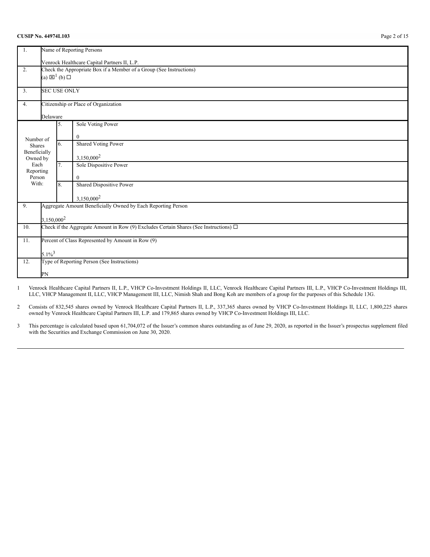#### **CUSIP No. 44974L103** Page 2 of 15

| 1.                            | Name of Reporting Persons                                                                  |                                 |                                                                     |  |  |  |  |
|-------------------------------|--------------------------------------------------------------------------------------------|---------------------------------|---------------------------------------------------------------------|--|--|--|--|
|                               | Venrock Healthcare Capital Partners II, L.P.                                               |                                 |                                                                     |  |  |  |  |
| 2.                            |                                                                                            |                                 | Check the Appropriate Box if a Member of a Group (See Instructions) |  |  |  |  |
|                               |                                                                                            | (a) $\boxtimes^1$ (b) $\square$ |                                                                     |  |  |  |  |
| 3.                            |                                                                                            | <b>SEC USE ONLY</b>             |                                                                     |  |  |  |  |
| 4.                            |                                                                                            |                                 | Citizenship or Place of Organization                                |  |  |  |  |
|                               | Delaware                                                                                   |                                 |                                                                     |  |  |  |  |
|                               |                                                                                            | 5.                              | Sole Voting Power                                                   |  |  |  |  |
| Number of                     |                                                                                            |                                 | $\mathbf{0}$                                                        |  |  |  |  |
| <b>Shares</b><br>Beneficially |                                                                                            | 6.                              | <b>Shared Voting Power</b>                                          |  |  |  |  |
| Owned by                      |                                                                                            |                                 | 3,150,000 <sup>2</sup>                                              |  |  |  |  |
| Each<br>Reporting             |                                                                                            | 7.                              | Sole Dispositive Power                                              |  |  |  |  |
| Person                        |                                                                                            |                                 | $\mathbf{0}$                                                        |  |  |  |  |
| With:                         |                                                                                            | 8.                              | Shared Dispositive Power                                            |  |  |  |  |
|                               |                                                                                            |                                 | 3,150,000 <sup>2</sup>                                              |  |  |  |  |
| 9.                            |                                                                                            |                                 | Aggregate Amount Beneficially Owned by Each Reporting Person        |  |  |  |  |
|                               | 3,150,000 <sup>2</sup>                                                                     |                                 |                                                                     |  |  |  |  |
| 10.                           | Check if the Aggregate Amount in Row (9) Excludes Certain Shares (See Instructions) $\Box$ |                                 |                                                                     |  |  |  |  |
| 11.                           |                                                                                            |                                 | Percent of Class Represented by Amount in Row (9)                   |  |  |  |  |
|                               |                                                                                            | $5.1\%^{3}$                     |                                                                     |  |  |  |  |
| 12.                           |                                                                                            |                                 | Type of Reporting Person (See Instructions)                         |  |  |  |  |
|                               | PN                                                                                         |                                 |                                                                     |  |  |  |  |
|                               |                                                                                            |                                 |                                                                     |  |  |  |  |

1 Venrock Healthcare Capital Partners II, L.P., VHCP Co-Investment Holdings II, LLC, Venrock Healthcare Capital Partners III, L.P., VHCP Co-Investment Holdings III, LLC, VHCP Management II, LLC, VHCP Management III, LLC, Nimish Shah and Bong Koh are members of a group for the purposes of this Schedule 13G.

2 Consists of 832,545 shares owned by Venrock Healthcare Capital Partners II, L.P., 337,365 shares owned by VHCP Co-Investment Holdings II, LLC, 1,800,225 shares owned by Venrock Healthcare Capital Partners III, L.P. and 179,865 shares owned by VHCP Co-Investment Holdings III, LLC.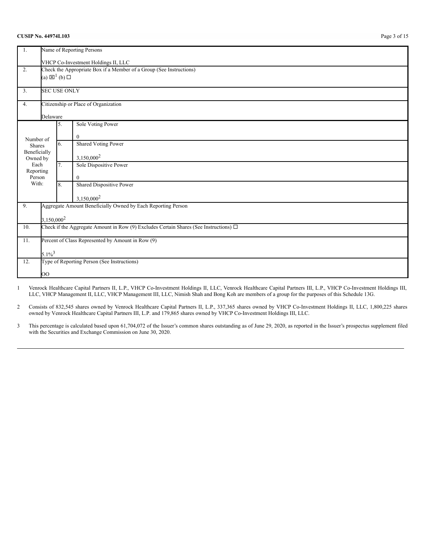#### **CUSIP No. 44974L103** Page 3 of 15

| Name of Reporting Persons<br>1.     |                                                                                            |                     |                                                              |  |  |  |  |
|-------------------------------------|--------------------------------------------------------------------------------------------|---------------------|--------------------------------------------------------------|--|--|--|--|
| VHCP Co-Investment Holdings II, LLC |                                                                                            |                     |                                                              |  |  |  |  |
| 2.                                  | Check the Appropriate Box if a Member of a Group (See Instructions)                        |                     |                                                              |  |  |  |  |
|                                     | (a) $\boxtimes^1$ (b) $\square$                                                            |                     |                                                              |  |  |  |  |
| 3.                                  |                                                                                            | <b>SEC USE ONLY</b> |                                                              |  |  |  |  |
| 4.                                  |                                                                                            |                     | Citizenship or Place of Organization                         |  |  |  |  |
|                                     | Delaware                                                                                   |                     |                                                              |  |  |  |  |
|                                     |                                                                                            | 5.                  | Sole Voting Power                                            |  |  |  |  |
| Number of                           |                                                                                            |                     | $\mathbf{0}$                                                 |  |  |  |  |
| Shares                              |                                                                                            | 6.                  | <b>Shared Voting Power</b>                                   |  |  |  |  |
| Beneficially<br>Owned by            |                                                                                            |                     | 3,150,000 <sup>2</sup>                                       |  |  |  |  |
| Each<br>Reporting                   |                                                                                            | 7.                  | Sole Dispositive Power                                       |  |  |  |  |
| Person                              |                                                                                            |                     | $\Omega$                                                     |  |  |  |  |
| With:                               |                                                                                            | 8.                  | Shared Dispositive Power                                     |  |  |  |  |
|                                     |                                                                                            |                     | 3,150,000 <sup>2</sup>                                       |  |  |  |  |
| 9.                                  |                                                                                            |                     | Aggregate Amount Beneficially Owned by Each Reporting Person |  |  |  |  |
|                                     | 3,150,000 <sup>2</sup>                                                                     |                     |                                                              |  |  |  |  |
| 10.                                 | Check if the Aggregate Amount in Row (9) Excludes Certain Shares (See Instructions) $\Box$ |                     |                                                              |  |  |  |  |
| 11.                                 | Percent of Class Represented by Amount in Row (9)                                          |                     |                                                              |  |  |  |  |
|                                     | $5.1\%^{3}$                                                                                |                     |                                                              |  |  |  |  |
| 12.                                 |                                                                                            |                     | Type of Reporting Person (See Instructions)                  |  |  |  |  |
|                                     | OO                                                                                         |                     |                                                              |  |  |  |  |
|                                     |                                                                                            |                     |                                                              |  |  |  |  |

1 Venrock Healthcare Capital Partners II, L.P., VHCP Co-Investment Holdings II, LLC, Venrock Healthcare Capital Partners III, L.P., VHCP Co-Investment Holdings III, LLC, VHCP Management II, LLC, VHCP Management III, LLC, Nimish Shah and Bong Koh are members of a group for the purposes of this Schedule 13G.

2 Consists of 832,545 shares owned by Venrock Healthcare Capital Partners II, L.P., 337,365 shares owned by VHCP Co-Investment Holdings II, LLC, 1,800,225 shares owned by Venrock Healthcare Capital Partners III, L.P. and 179,865 shares owned by VHCP Co-Investment Holdings III, LLC.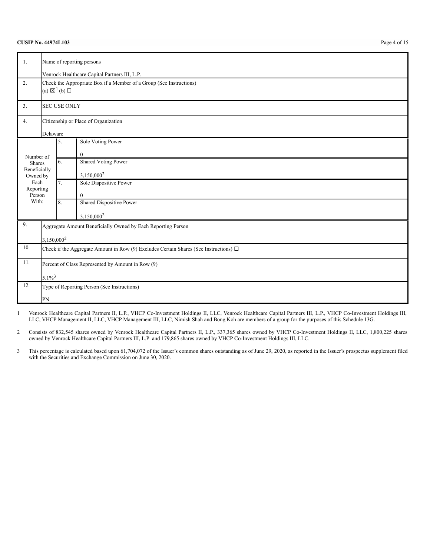| 1.                            | Name of reporting persons                                                                  |                                 |                                                                     |  |  |
|-------------------------------|--------------------------------------------------------------------------------------------|---------------------------------|---------------------------------------------------------------------|--|--|
|                               | Venrock Healthcare Capital Partners III, L.P.                                              |                                 |                                                                     |  |  |
| 2.                            |                                                                                            | (a) $\boxtimes^1$ (b) $\square$ | Check the Appropriate Box if a Member of a Group (See Instructions) |  |  |
| 3.                            |                                                                                            | <b>SEC USE ONLY</b>             |                                                                     |  |  |
| 4.                            |                                                                                            |                                 | Citizenship or Place of Organization                                |  |  |
|                               | Delaware                                                                                   |                                 |                                                                     |  |  |
|                               |                                                                                            | 5.                              | Sole Voting Power                                                   |  |  |
| Number of                     |                                                                                            | 6.                              | $\mathbf{0}$<br><b>Shared Voting Power</b>                          |  |  |
| <b>Shares</b><br>Beneficially |                                                                                            |                                 |                                                                     |  |  |
| Owned by                      |                                                                                            |                                 | $3,150,000^2$                                                       |  |  |
| Each<br>Reporting             |                                                                                            | $\overline{7}$ .                | Sole Dispositive Power                                              |  |  |
| Person                        |                                                                                            |                                 | $\mathbf{0}$                                                        |  |  |
| With:                         |                                                                                            | 8.                              | Shared Dispositive Power                                            |  |  |
|                               |                                                                                            |                                 | 3,150,000 <sup>2</sup>                                              |  |  |
| 9.                            |                                                                                            |                                 | Aggregate Amount Beneficially Owned by Each Reporting Person        |  |  |
|                               | 3,150,000 <sup>2</sup>                                                                     |                                 |                                                                     |  |  |
| 10.                           | Check if the Aggregate Amount in Row (9) Excludes Certain Shares (See Instructions) $\Box$ |                                 |                                                                     |  |  |
| 11.                           | Percent of Class Represented by Amount in Row (9)                                          |                                 |                                                                     |  |  |
|                               | $5.1\%^{3}$                                                                                |                                 |                                                                     |  |  |
| 12.                           |                                                                                            |                                 | Type of Reporting Person (See Instructions)                         |  |  |
|                               | PN                                                                                         |                                 |                                                                     |  |  |

1 Venrock Healthcare Capital Partners II, L.P., VHCP Co-Investment Holdings II, LLC, Venrock Healthcare Capital Partners III, L.P., VHCP Co-Investment Holdings III, LLC, VHCP Management II, LLC, VHCP Management III, LLC, Nimish Shah and Bong Koh are members of a group for the purposes of this Schedule 13G.

2 Consists of 832,545 shares owned by Venrock Healthcare Capital Partners II, L.P., 337,365 shares owned by VHCP Co-Investment Holdings II, LLC, 1,800,225 shares owned by Venrock Healthcare Capital Partners III, L.P. and 179,865 shares owned by VHCP Co-Investment Holdings III, LLC.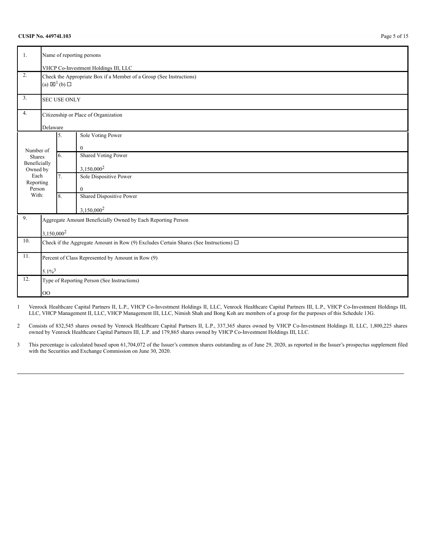### **CUSIP No. 44974L103** Page 5 of 15

| 1.                                                       | Name of reporting persons<br>VHCP Co-Investment Holdings III, LLC                                      |                     |                                                              |  |  |  |
|----------------------------------------------------------|--------------------------------------------------------------------------------------------------------|---------------------|--------------------------------------------------------------|--|--|--|
| 2.                                                       | Check the Appropriate Box if a Member of a Group (See Instructions)<br>(a) $\boxtimes^1$ (b) $\square$ |                     |                                                              |  |  |  |
| 3.                                                       |                                                                                                        | <b>SEC USE ONLY</b> |                                                              |  |  |  |
| 4.                                                       |                                                                                                        |                     | Citizenship or Place of Organization                         |  |  |  |
|                                                          | Delaware                                                                                               |                     |                                                              |  |  |  |
|                                                          |                                                                                                        | 5.                  | Sole Voting Power                                            |  |  |  |
| Number of                                                |                                                                                                        |                     | $\boldsymbol{0}$                                             |  |  |  |
| <b>Shares</b>                                            |                                                                                                        | 6.                  | <b>Shared Voting Power</b>                                   |  |  |  |
| Beneficially<br>Owned by                                 |                                                                                                        |                     | 3,150,000 <sup>2</sup>                                       |  |  |  |
| Each<br>Reporting                                        |                                                                                                        | 7.                  | Sole Dispositive Power                                       |  |  |  |
| Person                                                   |                                                                                                        |                     | $\mathbf{0}$                                                 |  |  |  |
| With:                                                    |                                                                                                        | 8.                  | Shared Dispositive Power                                     |  |  |  |
|                                                          |                                                                                                        |                     | 3,150,000 <sup>2</sup>                                       |  |  |  |
| 9.                                                       |                                                                                                        |                     | Aggregate Amount Beneficially Owned by Each Reporting Person |  |  |  |
|                                                          | 3,150,000 <sup>2</sup>                                                                                 |                     |                                                              |  |  |  |
| 10.                                                      | Check if the Aggregate Amount in Row (9) Excludes Certain Shares (See Instructions) $\Box$             |                     |                                                              |  |  |  |
| 11.<br>Percent of Class Represented by Amount in Row (9) |                                                                                                        |                     |                                                              |  |  |  |
|                                                          |                                                                                                        | $5.1\%^{3}$         |                                                              |  |  |  |
| 12.<br>Type of Reporting Person (See Instructions)       |                                                                                                        |                     |                                                              |  |  |  |
|                                                          | <b>OO</b>                                                                                              |                     |                                                              |  |  |  |

1 Venrock Healthcare Capital Partners II, L.P., VHCP Co-Investment Holdings II, LLC, Venrock Healthcare Capital Partners III, L.P., VHCP Co-Investment Holdings III, LLC, VHCP Management II, LLC, VHCP Management III, LLC, Nimish Shah and Bong Koh are members of a group for the purposes of this Schedule 13G.

2 Consists of 832,545 shares owned by Venrock Healthcare Capital Partners II, L.P., 337,365 shares owned by VHCP Co-Investment Holdings II, LLC, 1,800,225 shares owned by Venrock Healthcare Capital Partners III, L.P. and 179,865 shares owned by VHCP Co-Investment Holdings III, LLC.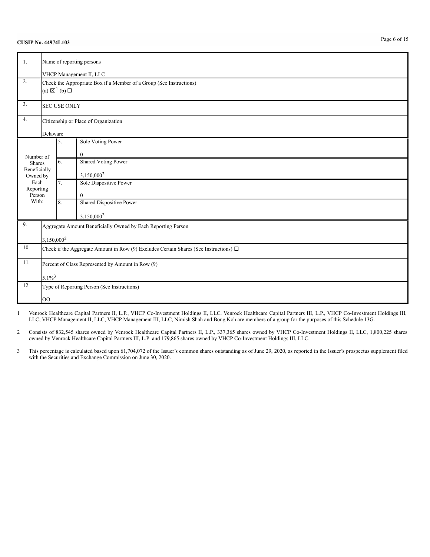| 1.                            | Name of reporting persons                                                                                                         |                                      |                                                              |  |  |  |  |
|-------------------------------|-----------------------------------------------------------------------------------------------------------------------------------|--------------------------------------|--------------------------------------------------------------|--|--|--|--|
| 2.                            | VHCP Management II, LLC<br>Check the Appropriate Box if a Member of a Group (See Instructions)<br>(a) $\boxtimes^1$ (b) $\square$ |                                      |                                                              |  |  |  |  |
| 3.                            |                                                                                                                                   | <b>SEC USE ONLY</b>                  |                                                              |  |  |  |  |
| 4.                            |                                                                                                                                   | Citizenship or Place of Organization |                                                              |  |  |  |  |
|                               |                                                                                                                                   | Delaware                             |                                                              |  |  |  |  |
|                               |                                                                                                                                   | 5.                                   | Sole Voting Power                                            |  |  |  |  |
| Number of                     |                                                                                                                                   |                                      | $\mathbf{0}$                                                 |  |  |  |  |
| <b>Shares</b><br>Beneficially |                                                                                                                                   | 6.                                   | <b>Shared Voting Power</b>                                   |  |  |  |  |
| Owned by                      |                                                                                                                                   |                                      | $3,150,000^2$                                                |  |  |  |  |
| Each                          |                                                                                                                                   | 7.                                   | Sole Dispositive Power                                       |  |  |  |  |
| Reporting<br>Person           |                                                                                                                                   |                                      | $\mathbf{0}$                                                 |  |  |  |  |
| With:                         |                                                                                                                                   | 8.                                   | Shared Dispositive Power                                     |  |  |  |  |
|                               |                                                                                                                                   |                                      | 3,150,000 <sup>2</sup>                                       |  |  |  |  |
| 9.                            |                                                                                                                                   |                                      | Aggregate Amount Beneficially Owned by Each Reporting Person |  |  |  |  |
|                               | $3,150,000^2$                                                                                                                     |                                      |                                                              |  |  |  |  |
| 10.                           | Check if the Aggregate Amount in Row (9) Excludes Certain Shares (See Instructions) $\Box$                                        |                                      |                                                              |  |  |  |  |
| 11.                           | Percent of Class Represented by Amount in Row (9)                                                                                 |                                      |                                                              |  |  |  |  |
|                               |                                                                                                                                   | $5.1\%^{3}$                          |                                                              |  |  |  |  |
| 12.                           |                                                                                                                                   |                                      | Type of Reporting Person (See Instructions)                  |  |  |  |  |
|                               | <b>OO</b>                                                                                                                         |                                      |                                                              |  |  |  |  |

1 Venrock Healthcare Capital Partners II, L.P., VHCP Co-Investment Holdings II, LLC, Venrock Healthcare Capital Partners III, L.P., VHCP Co-Investment Holdings III, LLC, VHCP Management II, LLC, VHCP Management III, LLC, Nimish Shah and Bong Koh are members of a group for the purposes of this Schedule 13G.

2 Consists of 832,545 shares owned by Venrock Healthcare Capital Partners II, L.P., 337,365 shares owned by VHCP Co-Investment Holdings II, LLC, 1,800,225 shares owned by Venrock Healthcare Capital Partners III, L.P. and 179,865 shares owned by VHCP Co-Investment Holdings III, LLC.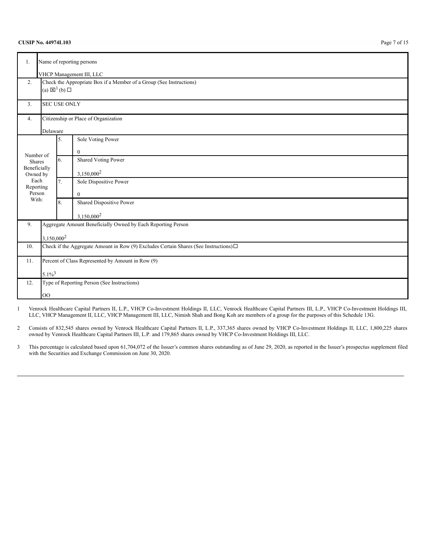| 1.                                                 | Name of reporting persons                                                                  |                                                                                                        |                                                              |  |  |  |
|----------------------------------------------------|--------------------------------------------------------------------------------------------|--------------------------------------------------------------------------------------------------------|--------------------------------------------------------------|--|--|--|
|                                                    |                                                                                            | VHCP Management III, LLC                                                                               |                                                              |  |  |  |
| 2.                                                 |                                                                                            | Check the Appropriate Box if a Member of a Group (See Instructions)<br>(a) $\boxtimes^1$ (b) $\square$ |                                                              |  |  |  |
| 3.                                                 |                                                                                            | <b>SEC USE ONLY</b>                                                                                    |                                                              |  |  |  |
| 4.                                                 |                                                                                            | Citizenship or Place of Organization                                                                   |                                                              |  |  |  |
|                                                    | Delaware                                                                                   |                                                                                                        |                                                              |  |  |  |
|                                                    |                                                                                            | 5.                                                                                                     | Sole Voting Power                                            |  |  |  |
| Number of                                          |                                                                                            |                                                                                                        | $\boldsymbol{0}$                                             |  |  |  |
| Shares                                             |                                                                                            | 6.                                                                                                     | <b>Shared Voting Power</b>                                   |  |  |  |
| Beneficially<br>Owned by                           |                                                                                            |                                                                                                        | 3,150,000 <sup>2</sup>                                       |  |  |  |
| Each<br>Reporting                                  |                                                                                            | 7.                                                                                                     | Sole Dispositive Power                                       |  |  |  |
| Person                                             |                                                                                            |                                                                                                        | $\overline{0}$                                               |  |  |  |
| With:                                              |                                                                                            | 8.                                                                                                     | Shared Dispositive Power                                     |  |  |  |
|                                                    |                                                                                            |                                                                                                        | 3,150,000 <sup>2</sup>                                       |  |  |  |
| 9.                                                 |                                                                                            |                                                                                                        | Aggregate Amount Beneficially Owned by Each Reporting Person |  |  |  |
|                                                    | 3,150,000 <sup>2</sup>                                                                     |                                                                                                        |                                                              |  |  |  |
| 10.                                                | Check if the Aggregate Amount in Row (9) Excludes Certain Shares (See Instructions) $\Box$ |                                                                                                        |                                                              |  |  |  |
| 11.                                                |                                                                                            | Percent of Class Represented by Amount in Row (9)                                                      |                                                              |  |  |  |
|                                                    |                                                                                            | $5.1\%$ <sup>3</sup>                                                                                   |                                                              |  |  |  |
| 12.<br>Type of Reporting Person (See Instructions) |                                                                                            |                                                                                                        |                                                              |  |  |  |
|                                                    | <b>OO</b>                                                                                  |                                                                                                        |                                                              |  |  |  |

1 Venrock Healthcare Capital Partners II, L.P., VHCP Co-Investment Holdings II, LLC, Venrock Healthcare Capital Partners III, L.P., VHCP Co-Investment Holdings III, LLC, VHCP Management II, LLC, VHCP Management III, LLC, Nimish Shah and Bong Koh are members of a group for the purposes of this Schedule 13G.

2 Consists of 832,545 shares owned by Venrock Healthcare Capital Partners II, L.P., 337,365 shares owned by VHCP Co-Investment Holdings II, LLC, 1,800,225 shares owned by Venrock Healthcare Capital Partners III, L.P. and 179,865 shares owned by VHCP Co-Investment Holdings III, LLC.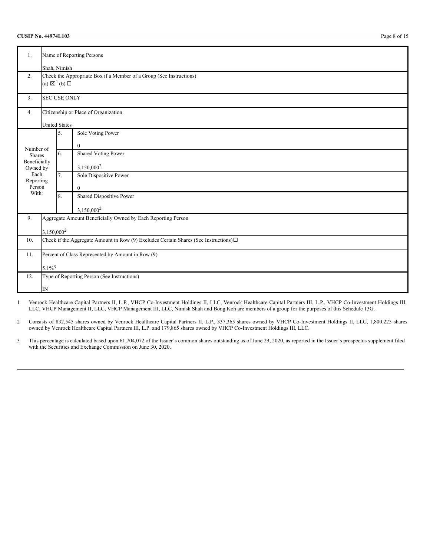### **CUSIP No. 44974L103** Page 8 of 15

| Name of Reporting Persons<br>1. |                                                                                            |                                 |                                                                     |  |  |
|---------------------------------|--------------------------------------------------------------------------------------------|---------------------------------|---------------------------------------------------------------------|--|--|
|                                 |                                                                                            | Shah, Nimish                    |                                                                     |  |  |
| 2.                              |                                                                                            |                                 | Check the Appropriate Box if a Member of a Group (See Instructions) |  |  |
|                                 |                                                                                            | (a) $\boxtimes^1$ (b) $\square$ |                                                                     |  |  |
| 3.                              |                                                                                            | <b>SEC USE ONLY</b>             |                                                                     |  |  |
| 4.                              |                                                                                            |                                 | Citizenship or Place of Organization                                |  |  |
|                                 |                                                                                            | <b>United States</b>            |                                                                     |  |  |
|                                 |                                                                                            | 5.                              | Sole Voting Power                                                   |  |  |
| Number of                       |                                                                                            |                                 | $\mathbf{0}$                                                        |  |  |
| <b>Shares</b>                   |                                                                                            | 6.                              | Shared Voting Power                                                 |  |  |
| Beneficially<br>Owned by        |                                                                                            |                                 | 3,150,000 <sup>2</sup>                                              |  |  |
| Each<br>Reporting               |                                                                                            | 7.                              | Sole Dispositive Power                                              |  |  |
| Person                          |                                                                                            |                                 | $\mathbf{0}$                                                        |  |  |
| With:                           |                                                                                            | 8.                              | Shared Dispositive Power                                            |  |  |
|                                 |                                                                                            |                                 | 3,150,000 <sup>2</sup>                                              |  |  |
| 9.                              |                                                                                            |                                 | Aggregate Amount Beneficially Owned by Each Reporting Person        |  |  |
|                                 | 3,150,000 <sup>2</sup>                                                                     |                                 |                                                                     |  |  |
| 10.                             | Check if the Aggregate Amount in Row (9) Excludes Certain Shares (See Instructions) $\Box$ |                                 |                                                                     |  |  |
| 11.                             | Percent of Class Represented by Amount in Row (9)                                          |                                 |                                                                     |  |  |
|                                 |                                                                                            |                                 |                                                                     |  |  |
|                                 | $5.1\%^{3}$                                                                                |                                 |                                                                     |  |  |
| 12.                             |                                                                                            |                                 | Type of Reporting Person (See Instructions)                         |  |  |
|                                 | IN                                                                                         |                                 |                                                                     |  |  |

1 Venrock Healthcare Capital Partners II, L.P., VHCP Co-Investment Holdings II, LLC, Venrock Healthcare Capital Partners III, L.P., VHCP Co-Investment Holdings III, LLC, VHCP Management II, LLC, VHCP Management III, LLC, Nimish Shah and Bong Koh are members of a group for the purposes of this Schedule 13G.

2 Consists of 832,545 shares owned by Venrock Healthcare Capital Partners II, L.P., 337,365 shares owned by VHCP Co-Investment Holdings II, LLC, 1,800,225 shares owned by Venrock Healthcare Capital Partners III, L.P. and 179,865 shares owned by VHCP Co-Investment Holdings III, LLC.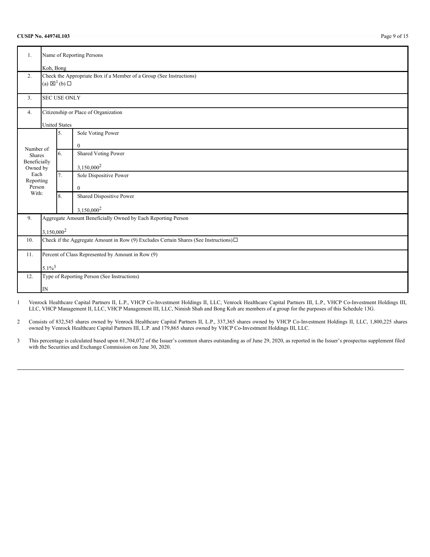### **CUSIP No. 44974L103** Page 9 of 15

| 1.                         | Name of Reporting Persons                                                                     |                                                   |                                                                     |  |  |  |
|----------------------------|-----------------------------------------------------------------------------------------------|---------------------------------------------------|---------------------------------------------------------------------|--|--|--|
|                            |                                                                                               | Koh, Bong                                         |                                                                     |  |  |  |
| 2.                         |                                                                                               |                                                   | Check the Appropriate Box if a Member of a Group (See Instructions) |  |  |  |
|                            |                                                                                               | (a) $\boxtimes^1$ (b) $\square$                   |                                                                     |  |  |  |
|                            |                                                                                               |                                                   |                                                                     |  |  |  |
| 3.                         |                                                                                               | <b>SEC USE ONLY</b>                               |                                                                     |  |  |  |
| 4.                         |                                                                                               |                                                   | Citizenship or Place of Organization                                |  |  |  |
|                            |                                                                                               |                                                   |                                                                     |  |  |  |
|                            |                                                                                               | <b>United States</b>                              |                                                                     |  |  |  |
|                            |                                                                                               | 5.                                                | Sole Voting Power                                                   |  |  |  |
|                            |                                                                                               |                                                   | $\mathbf{0}$                                                        |  |  |  |
| Number of<br><b>Shares</b> |                                                                                               | 6.                                                | <b>Shared Voting Power</b>                                          |  |  |  |
| Beneficially               |                                                                                               |                                                   |                                                                     |  |  |  |
| Owned by                   |                                                                                               |                                                   | $3,150,000^2$                                                       |  |  |  |
| Each                       |                                                                                               | 7.                                                | Sole Dispositive Power                                              |  |  |  |
| Reporting<br>Person        |                                                                                               |                                                   |                                                                     |  |  |  |
| With:                      |                                                                                               |                                                   | $\mathbf{0}$                                                        |  |  |  |
|                            |                                                                                               | 8.                                                | Shared Dispositive Power                                            |  |  |  |
|                            |                                                                                               |                                                   | 3,150,000 <sup>2</sup>                                              |  |  |  |
| 9.                         |                                                                                               |                                                   | Aggregate Amount Beneficially Owned by Each Reporting Person        |  |  |  |
|                            |                                                                                               |                                                   |                                                                     |  |  |  |
|                            | 3,150,000 <sup>2</sup>                                                                        |                                                   |                                                                     |  |  |  |
| 10.                        | Check if the Aggregate Amount in Row (9) Excludes Certain Shares (See Instructions) $\square$ |                                                   |                                                                     |  |  |  |
| 11.                        |                                                                                               | Percent of Class Represented by Amount in Row (9) |                                                                     |  |  |  |
|                            | $5.1\%^{3}$                                                                                   |                                                   |                                                                     |  |  |  |
| 12.                        | Type of Reporting Person (See Instructions)                                                   |                                                   |                                                                     |  |  |  |
|                            |                                                                                               |                                                   |                                                                     |  |  |  |
|                            | IN                                                                                            |                                                   |                                                                     |  |  |  |

1 Venrock Healthcare Capital Partners II, L.P., VHCP Co-Investment Holdings II, LLC, Venrock Healthcare Capital Partners III, L.P., VHCP Co-Investment Holdings III, LLC, VHCP Management II, LLC, VHCP Management III, LLC, Nimish Shah and Bong Koh are members of a group for the purposes of this Schedule 13G.

2 Consists of 832,545 shares owned by Venrock Healthcare Capital Partners II, L.P., 337,365 shares owned by VHCP Co-Investment Holdings II, LLC, 1,800,225 shares owned by Venrock Healthcare Capital Partners III, L.P. and 179,865 shares owned by VHCP Co-Investment Holdings III, LLC.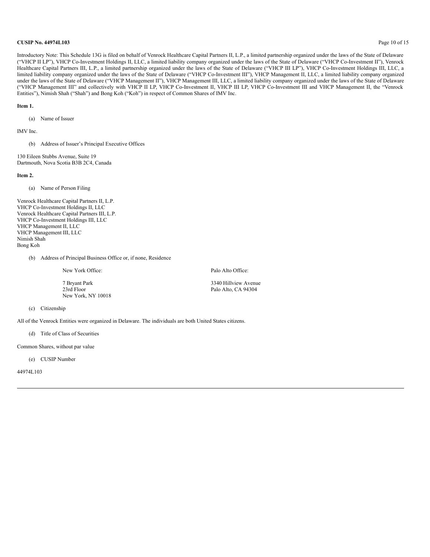#### **CUSIP No. 44974L103** Page 10 of 15

Introductory Note: This Schedule 13G is filed on behalf of Venrock Healthcare Capital Partners II, L.P., a limited partnership organized under the laws of the State of Delaware ("VHCP II LP"), VHCP Co-Investment Holdings II, LLC, a limited liability company organized under the laws of the State of Delaware ("VHCP Co-Investment II"), Venrock Healthcare Capital Partners III, L.P., a limited partnership organized under the laws of the State of Delaware ("VHCP III LP"), VHCP Co-Investment Holdings III, LLC, a limited liability company organized under the laws of the State of Delaware ("VHCP Co-Investment III"), VHCP Management II, LLC, a limited liability company organized under the laws of the State of Delaware ("VHCP Management II"), VHCP Management III, LLC, a limited liability company organized under the laws of the State of Delaware ("VHCP Management III" and collectively with VHCP II LP, VHCP Co-Investment II, VHCP III LP, VHCP Co-Investment III and VHCP Management II, the "Venrock Entities"), Nimish Shah ("Shah") and Bong Koh ("Koh") in respect of Common Shares of IMV Inc.

#### **Item 1.**

(a) Name of Issuer

IMV Inc.

(b) Address of Issuer's Principal Executive Offices

130 Eileen Stubbs Avenue, Suite 19 Dartmouth, Nova Scotia B3B 2C4, Canada

**Item 2.**

(a) Name of Person Filing

Venrock Healthcare Capital Partners II, L.P. VHCP Co-Investment Holdings II, LLC Venrock Healthcare Capital Partners III, L.P. VHCP Co-Investment Holdings III, LLC VHCP Management II, LLC VHCP Management III, LLC Nimish Shah Bong Koh

(b) Address of Principal Business Office or, if none, Residence

New York Office: Palo Alto Office:

7 Bryant Park 3340 Hillview Avenue New York, NY 10018

Palo Alto, CA 94304

#### (c) Citizenship

All of the Venrock Entities were organized in Delaware. The individuals are both United States citizens.

(d) Title of Class of Securities

Common Shares, without par value

(e) CUSIP Number

44974L103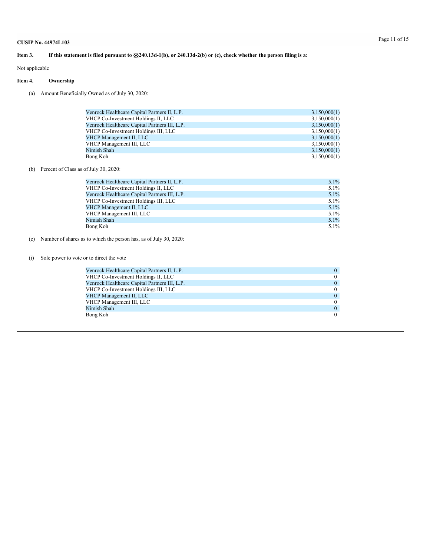### Item 3. If this statement is filed pursuant to §§240.13d-1(b), or 240.13d-2(b) or (c), check whether the person filing is a:

Not applicable

### **Item 4. Ownership**

(a) Amount Beneficially Owned as of July 30, 2020:

| Venrock Healthcare Capital Partners II, L.P.  | 3,150,000(1) |
|-----------------------------------------------|--------------|
| VHCP Co-Investment Holdings II, LLC           | 3,150,000(1) |
| Venrock Healthcare Capital Partners III, L.P. | 3,150,000(1) |
| VHCP Co-Investment Holdings III, LLC          | 3,150,000(1) |
| <b>VHCP Management II, LLC</b>                | 3,150,000(1) |
| VHCP Management III, LLC                      | 3,150,000(1) |
| Nimish Shah                                   | 3,150,000(1) |
| Bong Koh                                      | 3,150,000(1) |

### (b) Percent of Class as of July 30, 2020:

| Venrock Healthcare Capital Partners II, L.P.  | 5.1%    |
|-----------------------------------------------|---------|
| VHCP Co-Investment Holdings II, LLC           | $5.1\%$ |
| Venrock Healthcare Capital Partners III, L.P. | 5.1%    |
| VHCP Co-Investment Holdings III, LLC          | $5.1\%$ |
| VHCP Management II, LLC                       | 5.1%    |
| VHCP Management III, LLC                      | $5.1\%$ |
| Nimish Shah                                   | 5.1%    |
| Bong Koh                                      | $5.1\%$ |

### (c) Number of shares as to which the person has, as of July 30, 2020:

#### (i) Sole power to vote or to direct the vote

| Venrock Healthcare Capital Partners II, L.P.  | $\theta$ |
|-----------------------------------------------|----------|
| VHCP Co-Investment Holdings II, LLC           | $\Omega$ |
| Venrock Healthcare Capital Partners III, L.P. | $\theta$ |
| VHCP Co-Investment Holdings III, LLC          | $\theta$ |
| VHCP Management II, LLC                       | $\Omega$ |
| VHCP Management III, LLC                      | $\theta$ |
| Nimish Shah                                   | $\theta$ |
| Bong Koh                                      | $\theta$ |
|                                               |          |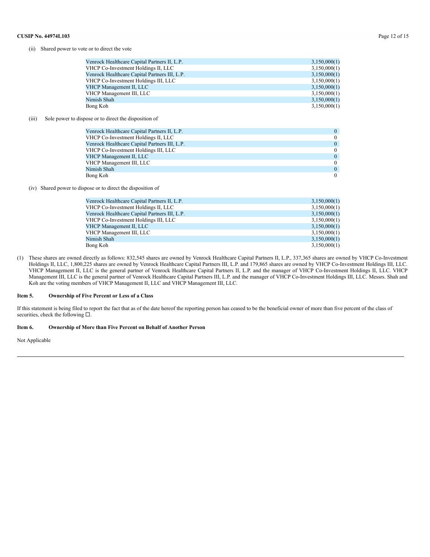#### (ii) Shared power to vote or to direct the vote

| 3,150,000(1) |
|--------------|
| 3,150,000(1) |
| 3,150,000(1) |
| 3,150,000(1) |
| 3,150,000(1) |
| 3,150,000(1) |
| 3,150,000(1) |
| 3,150,000(1) |
|              |

#### (iii) Sole power to dispose or to direct the disposition of

| $\Omega$ |
|----------|
| $\Omega$ |
| $\theta$ |
| $\theta$ |
| $\Omega$ |
| $\Omega$ |
| $\theta$ |
| $\Omega$ |
|          |

(iv) Shared power to dispose or to direct the disposition of

| Venrock Healthcare Capital Partners II, L.P.  | 3,150,000(1) |
|-----------------------------------------------|--------------|
| VHCP Co-Investment Holdings II, LLC           | 3,150,000(1) |
| Venrock Healthcare Capital Partners III, L.P. | 3,150,000(1) |
| VHCP Co-Investment Holdings III, LLC          | 3,150,000(1) |
| VHCP Management II, LLC                       | 3,150,000(1) |
| VHCP Management III, LLC                      | 3,150,000(1) |
| Nimish Shah                                   | 3,150,000(1) |
| Bong Koh                                      | 3,150,000(1) |

(1) These shares are owned directly as follows: 832,545 shares are owned by Venrock Healthcare Capital Partners II, L.P., 337,365 shares are owned by VHCP Co-Investment Holdings II, LLC, 1,800,225 shares are owned by Venrock Healthcare Capital Partners III, L.P. and 179,865 shares are owned by VHCP Co-Investment Holdings III, LLC. VHCP Management II, LLC is the general partner of Venrock Healthcare Capital Partners II, L.P. and the manager of VHCP Co-Investment Holdings II, LLC. VHCP Management III, LLC is the general partner of Venrock Healthcare Capital Partners III, L.P. and the manager of VHCP Co-Investment Holdings III, LLC. Messrs. Shah and Koh are the voting members of VHCP Management II, LLC and VHCP Management III, LLC.

#### **Item 5. Ownership of Five Percent or Less of a Class**

If this statement is being filed to report the fact that as of the date hereof the reporting person has ceased to be the beneficial owner of more than five percent of the class of securities, check the following  $\square$ .

#### **Item 6. Ownership of More than Five Percent on Behalf of Another Person**

Not Applicable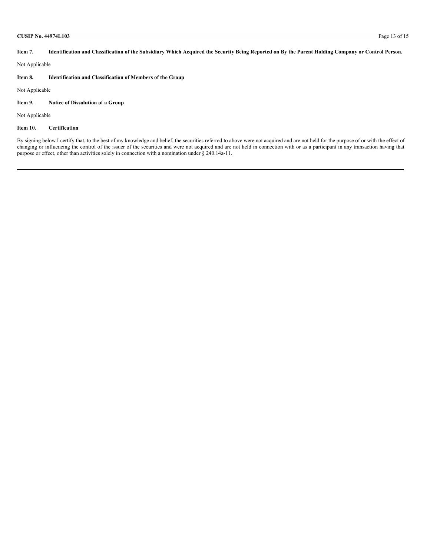#### **CUSIP No. 44974L103** Page 13 of 15

Item 7. Identification and Classification of the Subsidiary Which Acquired the Security Being Reported on By the Parent Holding Company or Control Person.

Not Applicable

### **Item 8. Identification and Classification of Members of the Group**

Not Applicable

## **Item 9. Notice of Dissolution of a Group**

Not Applicable

#### **Item 10. Certification**

By signing below I certify that, to the best of my knowledge and belief, the securities referred to above were not acquired and are not held for the purpose of or with the effect of changing or influencing the control of the issuer of the securities and were not acquired and are not held in connection with or as a participant in any transaction having that purpose or effect, other than activities solely in connection with a nomination under § 240.14a-11.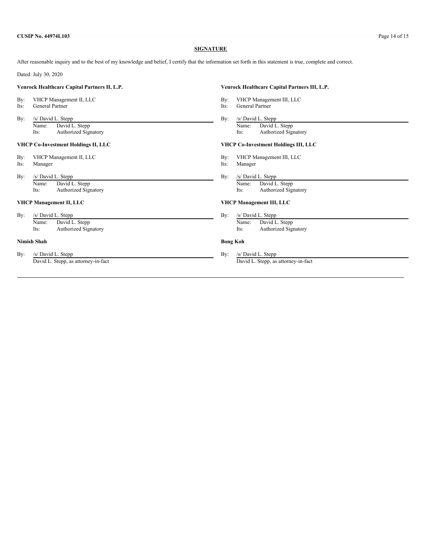#### **SIGNATURE**

After reasonable inquiry and to the best of my knowledge and belief, I certify that the information set forth in this statement is true, complete and correct.

Dated: July 30, 2020

#### **Venrock Healthcare Capital Partners II, L.P. Venrock Healthcare Capital Partners III, L.P.**

- 
- 
- 

Name: David L. Stepp Name: David L. Stepp Name: David L. Stepp Name: David L. Stepp Name: David L. Stepp Name: Authorized Signatory Name: Authorized Signatory Name: Authorized Signatory Name: Authorized Signatory Name: Aut Authorized Signatory

- By: VHCP Management II, LLC By: VHCP Management III, LLC Its: Manager and Manager and Manager and Manager and Manager and Manager and Manager and Manager and Manager and Manager and Manager and Manager and Manager and Mana
- 
- By: /s/ David L. Stepp By: /s/ David L. Stepp By: /s/ David L. Stepp By:

Its: Authorized Signatory Its: Authorized Signatory

#### **VHCP Management II, LLC VHCP Management III, LLC**

By: /s/ David L. Stepp By: /s/ David L. Stepp By: /s/ David L. Stepp

Authorized Signatory

#### **Nimish Shah Bong Koh**

By: /s/ David L. Stepp By: /s/ David L. Stepp By: /s/ David L. Stepp By: /s/ David L. Stepp By: /s/ David L. Stepp By: /s/ David L. Stepp By: /s/ David L. Stepp By: /s/ David L. Stepp By: /s/ David L. Stepp By: /s/ David L

- By: VHCP Management II, LLC<br>
Its: General Partner and Partner and Partner and Partner and Partner and Partner and Partner and Partner and Partner and Partner and Partner and Partner and Partner and Partner and Partner and
	- General Partner
- By: /s/ David L. Stepp By: /s/ David L. Stepp By: /s/ David L. Stepp By: /s/ David L. Stepp By: /s/ David L. Stepp By: /s/ David L. Stepp By: /s/ David L. Stepp By: /s/ David L. Stepp By: /s/ David L. Stepp By: /s/ David L

#### **VHCP Co-Investment Holdings II, LLC VHCP Co-Investment Holdings III, LLC**

- 
- Its: Manager Its: Manager Its: Manager
	- Name: David L. Stepp Name: David L. Stepp Name: David L. Stepp Name: David L. Stepp Name: David L. Stepp Name: David L. Stepp Name: David L. Stepp Name: David L. Stepp Name: David L. Stepp Name: David L. Stepp Name: David

Name: David L. Stepp Name: David L. Stepp Name: David L. Stepp Name: David L. Stepp Name: David L. Stepp Name: Authorized Signatory Name: Authorized Signatory

David L. Stepp, as attorney-in-fact David L. Stepp, as attorney-in-fact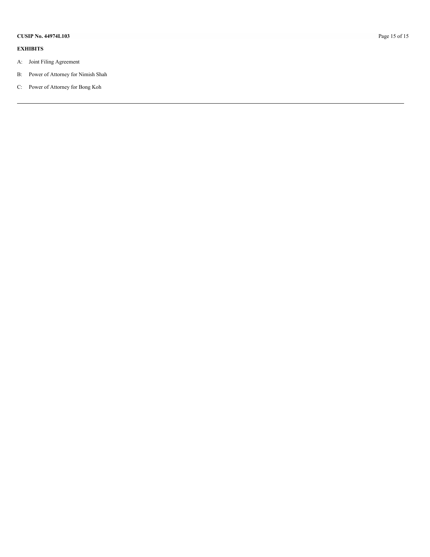#### **EXHIBITS**

- A: Joint Filing Agreement
- B: Power of Attorney for Nimish Shah
- C: Power of Attorney for Bong Koh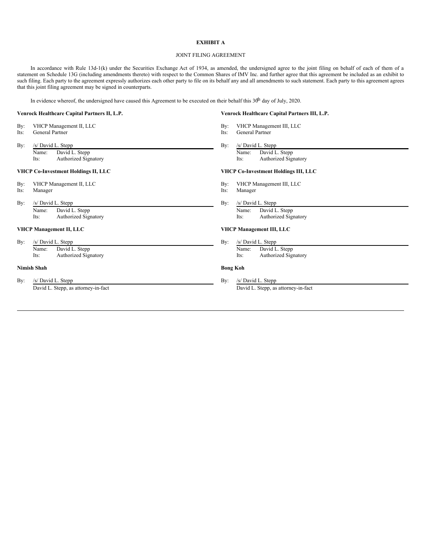#### **EXHIBIT A**

#### JOINT FILING AGREEMENT

In accordance with Rule 13d-1(k) under the Securities Exchange Act of 1934, as amended, the undersigned agree to the joint filing on behalf of each of them of a statement on Schedule 13G (including amendments thereto) with respect to the Common Shares of IMV Inc. and further agree that this agreement be included as an exhibit to such filing. Each party to the agreement expressly authorizes each other party to file on its behalf any and all amendments to such statement. Each party to this agreement agrees that this joint filing agreement may be signed in counterparts.

In evidence whereof, the undersigned have caused this Agreement to be executed on their behalf this  $30^{\text{h}}$  day of July, 2020.

#### **Venrock Healthcare Capital Partners II, L.P. Venrock Healthcare Capital Partners III, L.P.**

- By: VHCP Management II, LLC By: VHCP Management III, LLC
- Its: General Partner Its: General Partner Its: General Partner
- By: /s/ David L. Stepp By: /s/ David L. Stepp By: /s/ David L. Stepp By: Name: David L. Stepp Name: David L. Stepp Name: David L. Stepp Name: David L. Stepp Name: David L. Stepp Name:  $\overline{N}$  Authorized Signatory Name: Authorized Signatory Name: Authorized Signatory Name: Authorized Signatory

#### **VHCP Co-Investment Holdings II, LLC VHCP Co-Investment Holdings III, LLC**

- 
- Its: Manager Its: Manager
- 

Name: David L. Stepp Name: Name: David L. Stepp Name: Name: Name: Name: Name: Name: Name: Name: Name: Name: Name: Name: Name: Name: Name: Name: Name: Name: Name: Name: Name: Name: Name: Name: Name: Name: Name: Name: Name: Its: Authorized Signatory Its: Authorized Signatory

By: /s/ David L. Stepp By: /s/ David L. Stepp By: /s/ David L. Stepp By: /s/ David L. Stepp By: /s/ David L. Stepp By: /s/ David L. Stepp By: /s/ David L. Stepp By: /s/ David L. Stepp By: /s/ David L. Stepp By: /s/ David L

Name: David L. Stepp Name: Name: Name: Name: Name: Name: Name: Name: Name: Name: Name: Name: Name: Name: Name: Name: Name: Name: Name: Name: Name: Name: Name: Name: Name: Name: Name: Name: Name: Name: Name: Name: Name: Nam Its: Authorized Signatory Its: Authorized Signatory

#### **Nimish Shah Bong Koh**

By: /s/ David L. Stepp By: /s/ David L. Stepp By: /s/ David L. Stepp By:

- 
- 
- 

Its: Authorized Signatory **Its:** Authorized Signatory **Its:** Authorized Signatory

- By: VHCP Management II, LLC By: VHCP Management III, LLC
	-
	-

By: /s/ David L. Stepp<br>
Name: David L. Stepp By: /s/ David L. Stepp<br>
Name: David L. Stepp

#### **VHCP Management II, LLC VHCP Management III, LLC**

- -

David L. Stepp, as attorney-in-fact David L. Stepp, as attorney-in-fact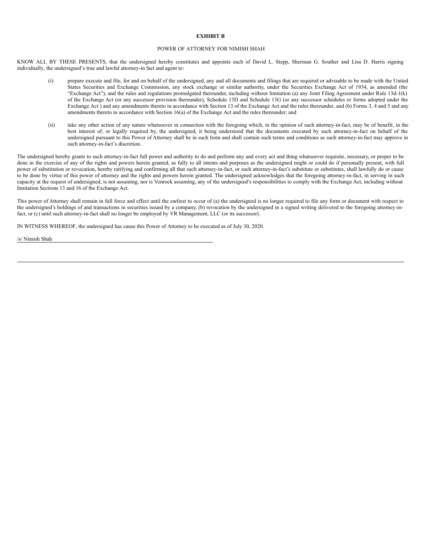#### **EXHIBIT B**

#### POWER OF ATTORNEY FOR NIMISH SHAH

KNOW ALL BY THESE PRESENTS, that the undersigned hereby constitutes and appoints each of David L. Stepp, Sherman G. Souther and Lisa D. Harris signing individually, the undersigned's true and lawful attorney-in fact and agent to:

- (i) prepare execute and file, for and on behalf of the undersigned, any and all documents and filings that are required or advisable to be made with the United States Securities and Exchange Commission, any stock exchange or similar authority, under the Securities Exchange Act of 1934, as amended (the "Exchange Act"), and the rules and regulations promulgated thereunder, including without limitation (a) any Joint Filing Agreement under Rule 13d-1(k) of the Exchange Act (or any successor provision thereunder), Schedule 13D and Schedule 13G (or any successor schedules or forms adopted under the Exchange Act) and any amendments thereto in accordance with Section 13 of the Exchange Act and the rules thereunder, and (b) Forms 3, 4 and 5 and any amendments thereto in accordance with Section 16(a) of the Exchange Act and the rules thereunder; and
- (ii) take any other action of any nature whatsoever in connection with the foregoing which, in the opinion of such attorney-in-fact, may be of benefit, in the best interest of, or legally required by, the undersigned, it being understood that the documents executed by such attorney-in-fact on behalf of the undersigned pursuant to this Power of Attorney shall be in such form and shall contain such terms and conditions as such attorney-in-fact may approve in such attorney-in-fact's discretion.

The undersigned hereby grants to such attorney-in-fact full power and authority to do and perform any and every act and thing whatsoever requisite, necessary, or proper to be done in the exercise of any of the rights and powers herein granted, as fully to all intents and purposes as the undersigned might or could do if personally present, with full power of substitution or revocation, hereby ratifying and confirming all that such attorney-in-fact, or such attorney-in-fact's substitute or substitutes, shall lawfully do or cause to be done by virtue of this power of attorney and the rights and powers herein granted. The undersigned acknowledges that the foregoing attorney-in-fact, in serving in such capacity at the request of undersigned, is not assuming, nor is Venrock assuming, any of the undersigned's responsibilities to comply with the Exchange Act, including without limitation Sections 13 and 16 of the Exchange Act.

This power of Attorney shall remain in full force and effect until the earliest to occur of (a) the undersigned is no longer required to file any form or document with respect to the undersigned's holdings of and transactions in securities issued by a company, (b) revocation by the undersigned in a signed writing delivered to the foregoing attorney-infact, or (c) until such attorney-in-fact shall no longer be employed by VR Management, LLC (or its successor).

IN WITNESS WHEREOF, the undersigned has cause this Power of Attorney to be executed as of July 30, 2020.

/s/ Nimish Shah